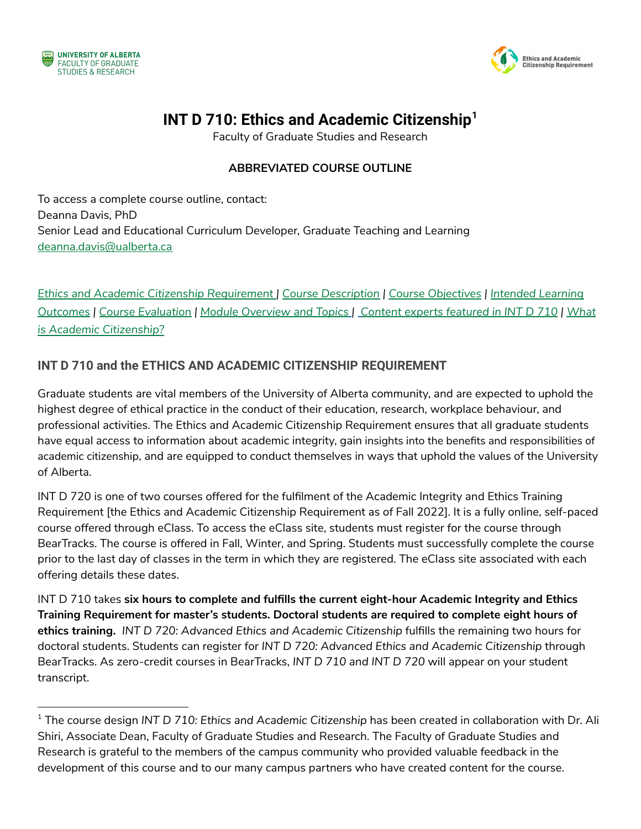



# **INT D 710: Ethics and Academic Citizenship<sup>1</sup>**

Faculty of Graduate Studies and Research

#### **ABBREVIATED COURSE OUTLINE**

To access a complete course outline, contact: Deanna Davis, PhD Senior Lead and Educational Curriculum Developer, Graduate Teaching and Learning [deanna.davis@ualberta.ca](mailto:deanna.davis@ualberta.ca)

*Ethics and Academic Citizenship [Requirement](#page-0-0) | Course [Description](#page-1-0) | Course [Objectives](#page-1-1) | [Intended](#page-1-2) Learning* [Outcomes](#page-1-2) | Course [Evaluation](#page-1-3) | Module [Overview](#page-2-0) and Topics | Content experts [featured](#page-3-0) in INT D 710 | [What](#page-3-0) *is Academic [Citizenship?](#page-3-0)*

#### <span id="page-0-0"></span>**INT D 710 and the ETHICS AND ACADEMIC CITIZENSHIP REQUIREMENT**

Graduate students are vital members of the University of Alberta community, and are expected to uphold the highest degree of ethical practice in the conduct of their education, research, workplace behaviour, and professional activities. The Ethics and Academic Citizenship Requirement ensures that all graduate students have equal access to information about academic integrity, gain insights into the benefits and responsibilities of academic citizenship, and are equipped to conduct themselves in ways that uphold the values of the [University](https://www.ualberta.ca/strategic-plan/overview/our-vision-mission-and-values.html) of [Alberta](https://www.ualberta.ca/strategic-plan/overview/our-vision-mission-and-values.html).

INT D 720 is one of two courses offered for the fulfilment of the Academic Integrity and Ethics Training Requirement [the Ethics and Academic Citizenship Requirement as of Fall 2022]. It is a fully online, self-paced course offered through eClass. To access the eClass site, students must register for the course through BearTracks. The course is offered in Fall, Winter, and Spring. Students must successfully complete the course prior to the last day of classes in the term in which they are registered. The eClass site associated with each offering details these dates.

INT D 710 takes **six hours to complete and fulfills the current eight-hour Academic Integrity and Ethics Training Requirement for master's students. Doctoral students are required to complete eight hours of ethics training.** *INT D 720: Advanced Ethics and Academic Citizenship* fulfills the remaining two hours for doctoral students. Students can register for *INT D 720: Advanced Ethics and Academic Citizenship* through BearTracks. As zero-credit courses in BearTracks, *INT D 710 and INT D 720* will appear on your student transcript.

<sup>1</sup> The course design *INT D 710: Ethics and Academic Citizenship* has been created in collaboration with Dr. Ali Shiri, Associate Dean, Faculty of Graduate Studies and Research. The Faculty of Graduate Studies and Research is grateful to the members of the campus community who provided valuable feedback in the development of this course and to our many campus partners who have created content for the course.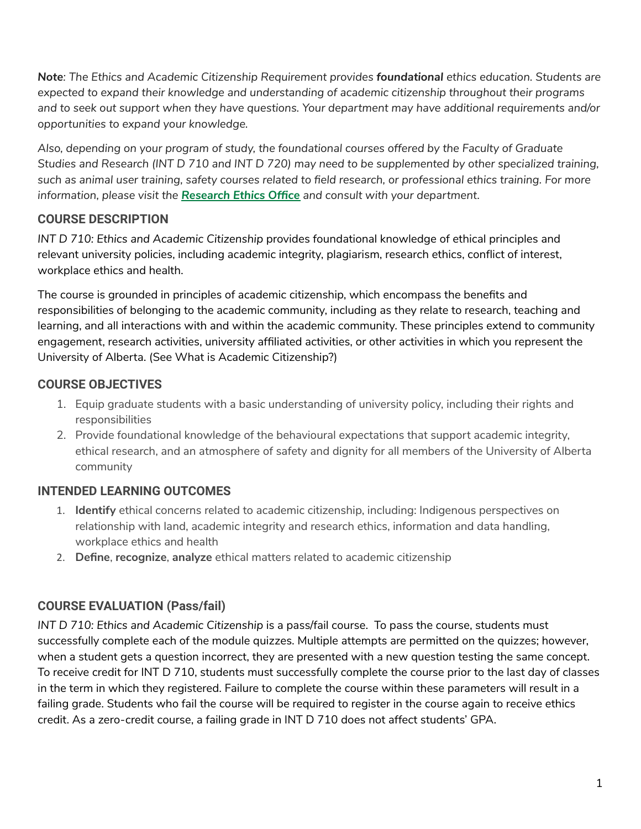*Note: The Ethics and Academic Citizenship Requirement provides foundational ethics education. Students are expected to expand their knowledge and understanding of academic citizenship throughout their programs and to seek out support when they have questions. Your department may have additional requirements and/or opportunities to expand your knowledge.*

*Also, depending on your program of study, the foundational courses offered by the Faculty of Graduate* Studies and Research (INT D 710 and INT D 720) may need to be supplemented by other specialized training, such as animal user training, safety courses related to field research, or professional ethics training. For more *information, please visit the [Research](https://www.ualberta.ca/research/research-support/research-ethics-office/index.html) Ethics Office and consult with your department.*

### <span id="page-1-0"></span>**COURSE DESCRIPTION**

*INT D 710: Ethics and Academic Citizenship* provides foundational knowledge of ethical principles and relevant university policies, including academic integrity, plagiarism, research ethics, conflict of interest, workplace ethics and health.

The course is grounded in principles of academic citizenship, which encompass the benefits and responsibilities of belonging to the academic community, including as they relate to research, teaching and learning, and all interactions with and within the academic community. These principles extend to community engagement, research activities, university affiliated activities, or other activities in which you represent the University of Alberta. (See What is Academic Citizenship?)

### <span id="page-1-1"></span>**COURSE OBJECTIVES**

- 1. Equip graduate students with a basic understanding of university policy, including their rights and responsibilities
- 2. Provide foundational knowledge of the behavioural expectations that support academic integrity, ethical research, and an atmosphere of safety and dignity for all members of the University of Alberta community

### <span id="page-1-2"></span>**INTENDED LEARNING OUTCOMES**

- 1. **Identify** ethical concerns related to academic citizenship, including: Indigenous perspectives on relationship with land, academic integrity and research ethics, information and data handling, workplace ethics and health
- 2. **Define**, **recognize**, **analyze** ethical matters related to academic citizenship

### <span id="page-1-3"></span>**COURSE EVALUATION (Pass/fail)**

*INT D 710: Ethics and Academic Citizenship* is a pass/fail course. To pass the course, students must successfully complete each of the module quizzes. Multiple attempts are permitted on the quizzes; however, when a student gets a question incorrect, they are presented with a new question testing the same concept. To receive credit for INT D 710, students must successfully complete the course prior to the last day of classes in the term in which they registered. Failure to complete the course within these parameters will result in a failing grade. Students who fail the course will be required to register in the course again to receive ethics credit. As a zero-credit course, a failing grade in INT D 710 does not affect students' GPA.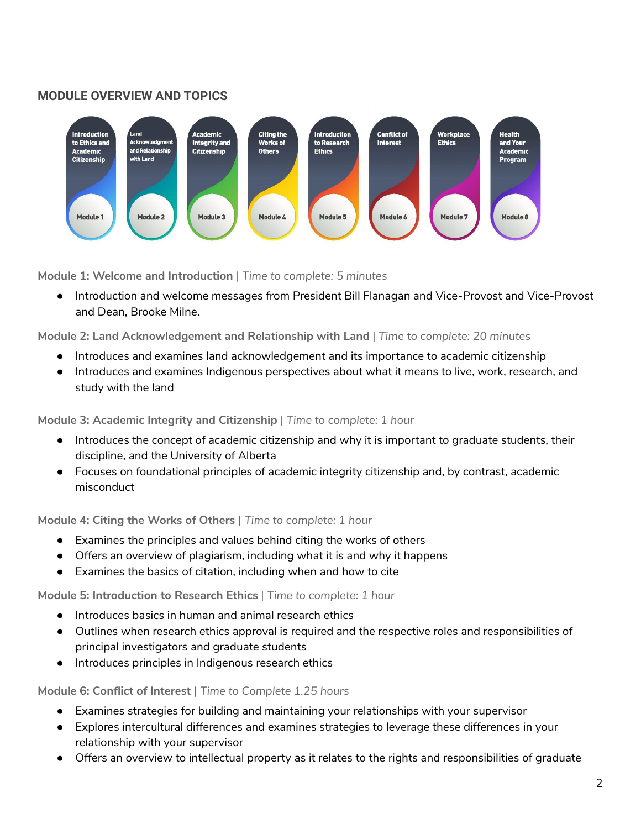#### <span id="page-2-0"></span>**MODULE OVERVIEW AND TOPICS**



**Module 1: Welcome and Introduction** | *Time to complete: 5 minutes*

● Introduction and welcome messages from President Bill Flanagan and Vice-Provost and Vice-Provost and Dean, Brooke Milne.

**Module 2: Land Acknowledgement and Relationship with Land** | *Time to complete: 20 minutes*

- Introduces and examines land acknowledgement and its importance to academic citizenship
- Introduces and examines Indigenous perspectives about what it means to live, work, research, and study with the land

**Module 3: Academic Integrity and Citizenship** | *Time to complete: 1 hour*

- Introduces the concept of academic citizenship and why it is important to graduate students, their discipline, and the University of Alberta
- Focuses on foundational principles of academic integrity citizenship and, by contrast, academic misconduct

**Module 4: Citing the Works of Others** | *Time to complete: 1 hour*

- Examines the principles and values behind citing the works of others
- Offers an overview of plagiarism, including what it is and why it happens
- Examines the basics of citation, including when and how to cite

**Module 5: Introduction to Research Ethics** | *Time to complete: 1 hour*

- Introduces basics in human and animal research ethics
- Outlines when research ethics approval is required and the respective roles and responsibilities of principal investigators and graduate students
- Introduces principles in Indigenous research ethics

**Module 6: Conflict of Interest** | *Time to Complete 1.25 hours*

- Examines strategies for building and maintaining your relationships with your supervisor
- Explores intercultural differences and examines strategies to leverage these differences in your relationship with your supervisor
- Offers an overview to intellectual property as it relates to the rights and responsibilities of graduate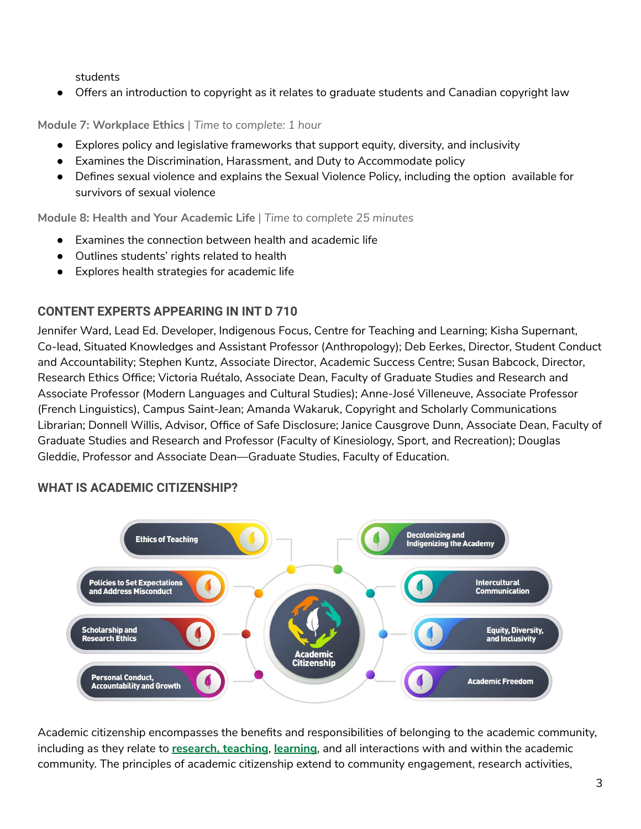students

● Offers an introduction to copyright as it relates to graduate students and Canadian copyright law

**Module 7: Workplace Ethics** | *Time to complete: 1 hour*

- Explores policy and legislative frameworks that support equity, diversity, and inclusivity
- Examines the Discrimination, Harassment, and Duty to Accommodate policy
- Defines sexual violence and explains the Sexual Violence Policy, including the option available for survivors of sexual violence

**Module 8: Health and Your Academic Life** | *Time to complete 25 minutes*

- Examines the connection between health and academic life
- Outlines students' rights related to health
- Explores health strategies for academic life

## <span id="page-3-0"></span>**CONTENT EXPERTS APPEARING IN INT D 710**

Jennifer Ward, Lead Ed. Developer, Indigenous Focus, Centre for Teaching and Learning; Kisha Supernant, Co-lead, Situated Knowledges and Assistant Professor (Anthropology); Deb Eerkes, Director, Student Conduct and Accountability; Stephen Kuntz, Associate Director, Academic Success Centre; Susan Babcock, Director, Research Ethics Office; Victoria Ruétalo, Associate Dean, Faculty of Graduate Studies and Research and Associate Professor (Modern Languages and Cultural Studies); Anne-José Villeneuve, Associate Professor (French Linguistics), Campus Saint-Jean; Amanda Wakaruk, Copyright and Scholarly Communications Librarian; Donnell Willis, Advisor, Office of Safe Disclosure; Janice Causgrove Dunn, Associate Dean, Faculty of Graduate Studies and Research and Professor (Faculty of Kinesiology, Sport, and Recreation); Douglas Gleddie, Professor and Associate Dean—Graduate Studies, Faculty of Education.

### **WHAT IS ACADEMIC CITIZENSHIP?**



Academic citizenship encompasses the benefits and responsibilities of belonging to the academic community, including as they relate to **[research,](https://www.ualberta.ca/human-resources-health-safety-environment/media-library/my-employment/agreements/university-aasua-2018-2020-collective-agreement.pdf) teaching**, **[learning](https://www.ualberta.ca/governance/media-library/documents/resources/policies-standards-and-codes-of-conduct/cosb-updated-july-1-2020.pdf)**, and all interactions with and within the academic community. The principles of academic citizenship extend to community engagement, research activities,